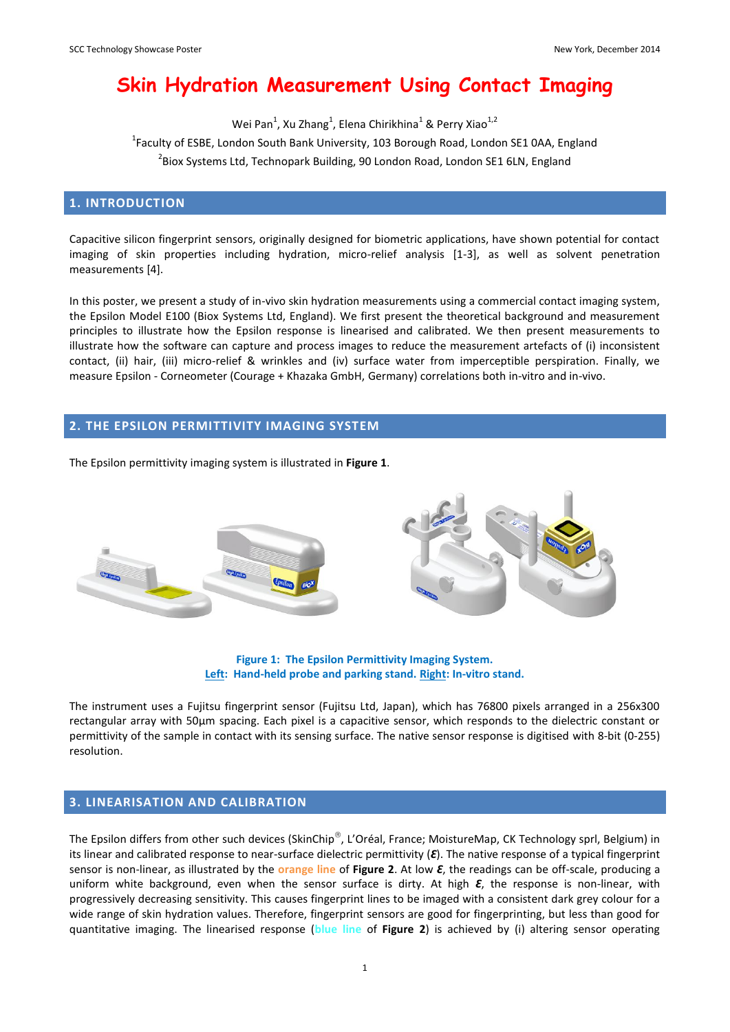# **Skin Hydration Measurement Using Contact Imaging**

Wei Pan<sup>1</sup>, Xu Zhang<sup>1</sup>, Elena Chirikhina<sup>1</sup> & Perry Xiao<sup>1,2</sup>

<sup>1</sup>Faculty of ESBE, London South Bank University, 103 Borough Road, London SE1 0AA, England

<sup>2</sup>Biox Systems Ltd, Technopark Building, 90 London Road, London SE1 6LN, England

#### **1. INTRODUCTION**

Capacitive silicon fingerprint sensors, originally designed for biometric applications, have shown potential for contact imaging of skin properties including hydration, micro-relief analysis [1-3], as well as solvent penetration measurements [4].

In this poster, we present a study of in-vivo skin hydration measurements using a commercial contact imaging system, the Epsilon Model E100 (Biox Systems Ltd, England). We first present the theoretical background and measurement principles to illustrate how the Epsilon response is linearised and calibrated. We then present measurements to illustrate how the software can capture and process images to reduce the measurement artefacts of (i) inconsistent contact, (ii) hair, (iii) micro-relief & wrinkles and (iv) surface water from imperceptible perspiration. Finally, we measure Epsilon - Corneometer (Courage + Khazaka GmbH, Germany) correlations both in-vitro and in-vivo.

#### **2. THE EPSILON PERMITTIVITY IMAGING SYSTEM**

The Epsilon permittivity imaging system is illustrated in **Figure 1**.



**Figure 1: The Epsilon Permittivity Imaging System. Left: Hand-held probe and parking stand. Right: In-vitro stand.**

The instrument uses a Fujitsu fingerprint sensor (Fujitsu Ltd, Japan), which has 76800 pixels arranged in a 256x300 rectangular array with 50µm spacing. Each pixel is a capacitive sensor, which responds to the dielectric constant or permittivity of the sample in contact with its sensing surface. The native sensor response is digitised with 8-bit (0-255) resolution.

### **3. LINEARISATION AND CALIBRATION**

The Epsilon differs from other such devices (SkinChip®, L'Oréal, France; MoistureMap, CK Technology sprl, Belgium) in its linear and calibrated response to near-surface dielectric permittivity (*Ԑ*). The native response of a typical fingerprint sensor is non-linear, as illustrated by the **orange line** of **Figure 2**. At low *Ԑ*, the readings can be off-scale, producing a uniform white background, even when the sensor surface is dirty. At high *Ԑ*, the response is non-linear, with progressively decreasing sensitivity. This causes fingerprint lines to be imaged with a consistent dark grey colour for a wide range of skin hydration values. Therefore, fingerprint sensors are good for fingerprinting, but less than good for quantitative imaging. The linearised response (**blue line** of **Figure 2**) is achieved by (i) altering sensor operating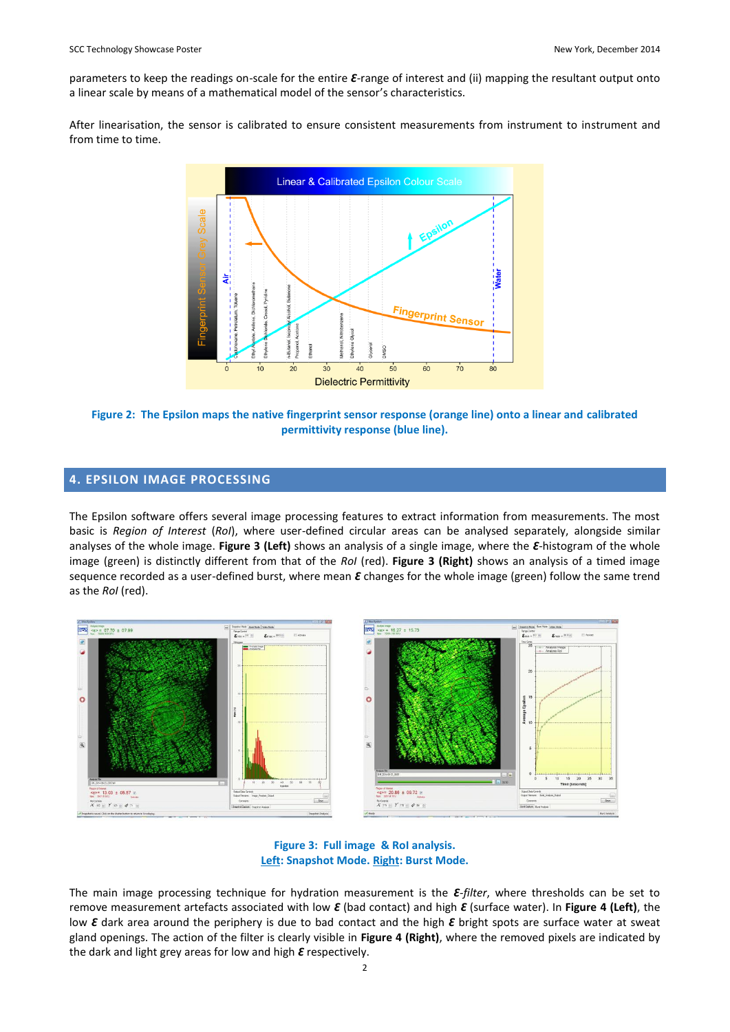parameters to keep the readings on-scale for the entire  $\epsilon$ -range of interest and (ii) mapping the resultant output onto a linear scale by means of a mathematical model of the sensor's characteristics.

After linearisation, the sensor is calibrated to ensure consistent measurements from instrument to instrument and from time to time.



**Figure 2: The Epsilon maps the native fingerprint sensor response (orange line) onto a linear and calibrated permittivity response (blue line).**

#### **4. EPSILON IMAGE PROCESSING**

The Epsilon software offers several image processing features to extract information from measurements. The most basic is *Region of Interest* (*RoI*), where user-defined circular areas can be analysed separately, alongside similar analyses of the whole image. **Figure 3 (Left)** shows an analysis of a single image, where the *Ԑ*-histogram of the whole image (green) is distinctly different from that of the *RoI* (red). **Figure 3 (Right)** shows an analysis of a timed image sequence recorded as a user-defined burst, where mean  $\epsilon$  changes for the whole image (green) follow the same trend as the *RoI* (red).



#### **Figure 3: Full image & RoI analysis. Left: Snapshot Mode. Right: Burst Mode.**

The main image processing technique for hydration measurement is the  $\varepsilon$ -*filter*, where thresholds can be set to remove measurement artefacts associated with low *Ԑ* (bad contact) and high *Ԑ* (surface water). In **Figure 4 (Left)**, the low *Ԑ* dark area around the periphery is due to bad contact and the high *Ԑ* bright spots are surface water at sweat gland openings. The action of the filter is clearly visible in **Figure 4 (Right)**, where the removed pixels are indicated by the dark and light grey areas for low and high *€* respectively.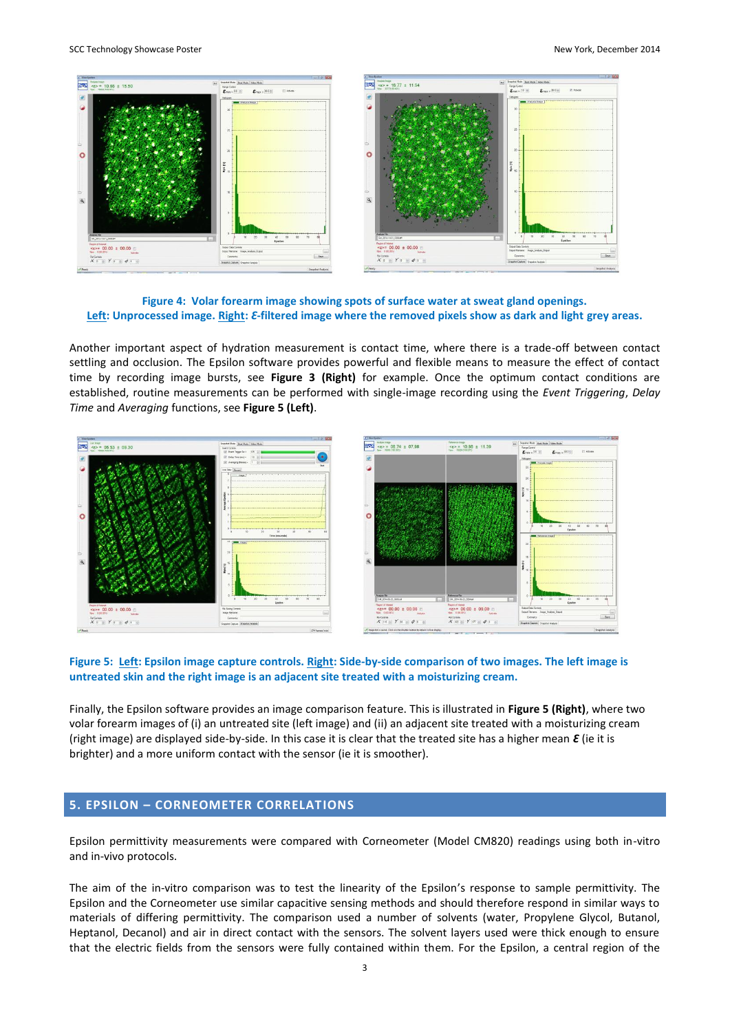

**Figure 4: Volar forearm image showing spots of surface water at sweat gland openings. Left: Unprocessed image. Right:** *Ԑ***-filtered image where the removed pixels show as dark and light grey areas.**

Another important aspect of hydration measurement is contact time, where there is a trade-off between contact settling and occlusion. The Epsilon software provides powerful and flexible means to measure the effect of contact time by recording image bursts, see **Figure 3 (Right)** for example. Once the optimum contact conditions are established, routine measurements can be performed with single-image recording using the *Event Triggering*, *Delay Time* and *Averaging* functions, see **Figure 5 (Left)**.



#### **Figure 5: Left: Epsilon image capture controls. Right: Side-by-side comparison of two images. The left image is untreated skin and the right image is an adjacent site treated with a moisturizing cream.**

Finally, the Epsilon software provides an image comparison feature. This is illustrated in **Figure 5 (Right)**, where two volar forearm images of (i) an untreated site (left image) and (ii) an adjacent site treated with a moisturizing cream (right image) are displayed side-by-side. In this case it is clear that the treated site has a higher mean  $\mathcal E$  (ie it is brighter) and a more uniform contact with the sensor (ie it is smoother).

## **5. EPSILON – CORNEOMETER CORRELATIONS**

Epsilon permittivity measurements were compared with Corneometer (Model CM820) readings using both in-vitro and in-vivo protocols.

The aim of the in-vitro comparison was to test the linearity of the Epsilon's response to sample permittivity. The Epsilon and the Corneometer use similar capacitive sensing methods and should therefore respond in similar ways to materials of differing permittivity. The comparison used a number of solvents (water, Propylene Glycol, Butanol, Heptanol, Decanol) and air in direct contact with the sensors. The solvent layers used were thick enough to ensure that the electric fields from the sensors were fully contained within them. For the Epsilon, a central region of the